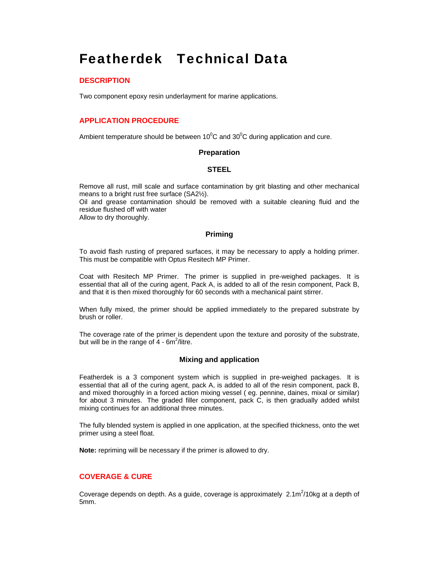# Featherdek Technical Data

### **DESCRIPTION**

Two component epoxy resin underlayment for marine applications.

# **APPLICATION PROCEDURE**

Ambient temperature should be between 10 $\rm{^0C}$  and 30 $\rm{^0C}$  during application and cure.

#### **Preparation**

#### **STEEL**

Remove all rust, mill scale and surface contamination by grit blasting and other mechanical means to a bright rust free surface (SA2½).

Oil and grease contamination should be removed with a suitable cleaning fluid and the residue flushed off with water

Allow to dry thoroughly.

#### **Priming**

To avoid flash rusting of prepared surfaces, it may be necessary to apply a holding primer. This must be compatible with Optus Resitech MP Primer.

Coat with Resitech MP Primer. The primer is supplied in pre-weighed packages. It is essential that all of the curing agent, Pack A, is added to all of the resin component, Pack B, and that it is then mixed thoroughly for 60 seconds with a mechanical paint stirrer.

When fully mixed, the primer should be applied immediately to the prepared substrate by brush or roller.

The coverage rate of the primer is dependent upon the texture and porosity of the substrate, but will be in the range of  $4$  - 6m<sup>2</sup>/litre.

#### **Mixing and application**

Featherdek is a 3 component system which is supplied in pre-weighed packages. It is essential that all of the curing agent, pack A, is added to all of the resin component, pack B, and mixed thoroughly in a forced action mixing vessel ( eg. pennine, daines, mixal or similar) for about 3 minutes. The graded filler component, pack C, is then gradually added whilst mixing continues for an additional three minutes.

The fully blended system is applied in one application, at the specified thickness, onto the wet primer using a steel float.

**Note:** repriming will be necessary if the primer is allowed to dry.

#### **COVERAGE & CURE**

Coverage depends on depth. As a guide, coverage is approximately  $2.1 \text{m}^2/10 \text{kg}$  at a depth of 5mm.